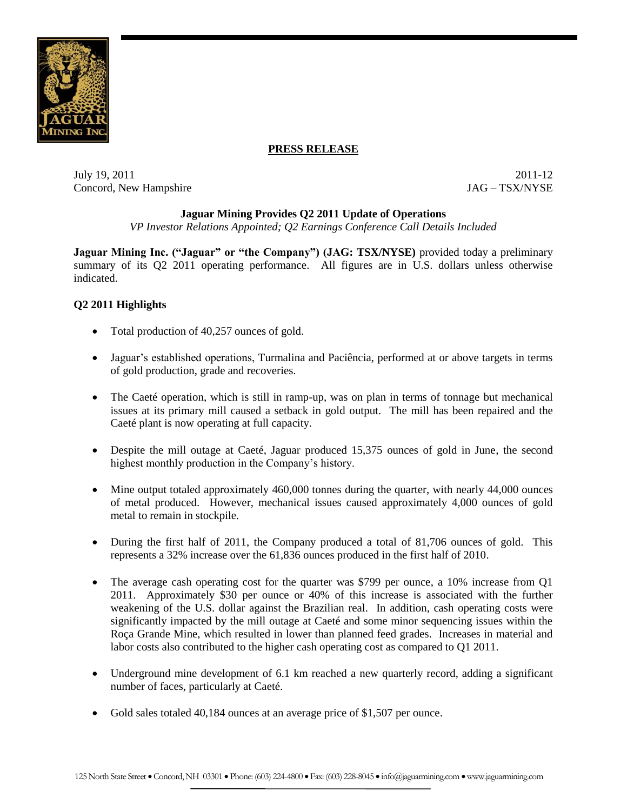

## **PRESS RELEASE**

July 19, 2011 2011-12 Concord, New Hampshire  $JAG - TSX/NYSE$ 

## **Jaguar Mining Provides Q2 2011 Update of Operations**

*VP Investor Relations Appointed; Q2 Earnings Conference Call Details Included*

**Jaguar Mining Inc. ("Jaguar" or "the Company") (JAG: TSX/NYSE)** provided today a preliminary summary of its Q2 2011 operating performance. All figures are in U.S. dollars unless otherwise indicated.

# **Q2 2011 Highlights**

- Total production of 40,257 ounces of gold.
- Jaguar's established operations, Turmalina and Paciência, performed at or above targets in terms of gold production, grade and recoveries.
- The Caeté operation, which is still in ramp-up, was on plan in terms of tonnage but mechanical issues at its primary mill caused a setback in gold output. The mill has been repaired and the Caeté plant is now operating at full capacity.
- Despite the mill outage at Caeté, Jaguar produced 15,375 ounces of gold in June, the second highest monthly production in the Company's history.
- Mine output totaled approximately 460,000 tonnes during the quarter, with nearly 44,000 ounces of metal produced. However, mechanical issues caused approximately 4,000 ounces of gold metal to remain in stockpile.
- During the first half of 2011, the Company produced a total of 81,706 ounces of gold. This represents a 32% increase over the 61,836 ounces produced in the first half of 2010.
- The average cash operating cost for the quarter was \$799 per ounce, a 10% increase from Q1 2011. Approximately \$30 per ounce or 40% of this increase is associated with the further weakening of the U.S. dollar against the Brazilian real. In addition, cash operating costs were significantly impacted by the mill outage at Caeté and some minor sequencing issues within the Roça Grande Mine, which resulted in lower than planned feed grades. Increases in material and labor costs also contributed to the higher cash operating cost as compared to Q1 2011.
- Underground mine development of 6.1 km reached a new quarterly record, adding a significant number of faces, particularly at Caeté.
- Gold sales totaled 40,184 ounces at an average price of \$1,507 per ounce.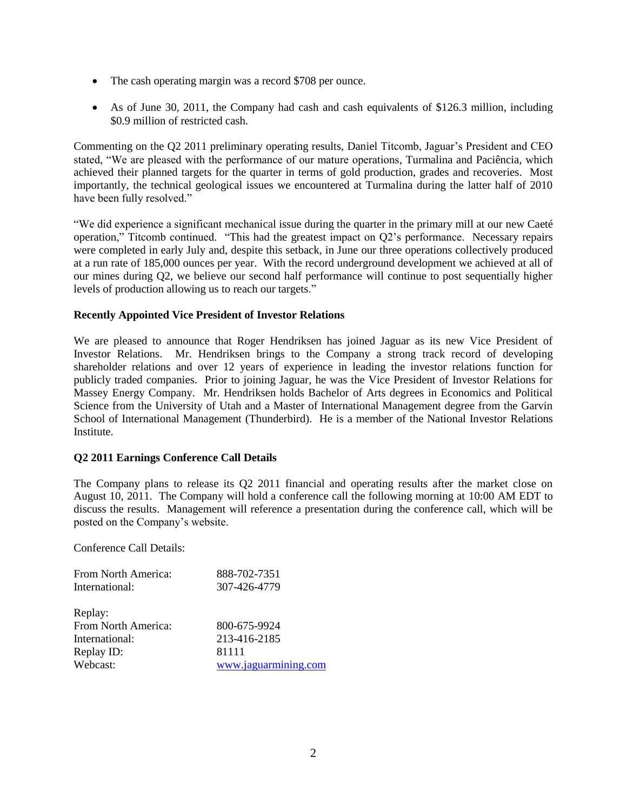- The cash operating margin was a record \$708 per ounce.
- As of June 30, 2011, the Company had cash and cash equivalents of \$126.3 million, including \$0.9 million of restricted cash.

Commenting on the Q2 2011 preliminary operating results, Daniel Titcomb, Jaguar's President and CEO stated, "We are pleased with the performance of our mature operations, Turmalina and Paciência, which achieved their planned targets for the quarter in terms of gold production, grades and recoveries. Most importantly, the technical geological issues we encountered at Turmalina during the latter half of 2010 have been fully resolved."

"We did experience a significant mechanical issue during the quarter in the primary mill at our new Caeté operation," Titcomb continued. "This had the greatest impact on Q2's performance. Necessary repairs were completed in early July and, despite this setback, in June our three operations collectively produced at a run rate of 185,000 ounces per year. With the record underground development we achieved at all of our mines during Q2, we believe our second half performance will continue to post sequentially higher levels of production allowing us to reach our targets."

## **Recently Appointed Vice President of Investor Relations**

We are pleased to announce that Roger Hendriksen has joined Jaguar as its new Vice President of Investor Relations. Mr. Hendriksen brings to the Company a strong track record of developing shareholder relations and over 12 years of experience in leading the investor relations function for publicly traded companies. Prior to joining Jaguar, he was the Vice President of Investor Relations for Massey Energy Company. Mr. Hendriksen holds Bachelor of Arts degrees in Economics and Political Science from the University of Utah and a Master of International Management degree from the Garvin School of International Management (Thunderbird). He is a member of the National Investor Relations Institute.

## **Q2 2011 Earnings Conference Call Details**

The Company plans to release its Q2 2011 financial and operating results after the market close on August 10, 2011. The Company will hold a conference call the following morning at 10:00 AM EDT to discuss the results. Management will reference a presentation during the conference call, which will be posted on the Company's website.

Conference Call Details:

| From North America: | 888-702-7351         |
|---------------------|----------------------|
| International:      | 307-426-4779         |
|                     |                      |
|                     |                      |
| From North America: | 800-675-9924         |
| International:      | 213-416-2185         |
| Replay ID:          | 81111                |
| Webcast:            | www.jaguarmining.com |
| Replay:             |                      |